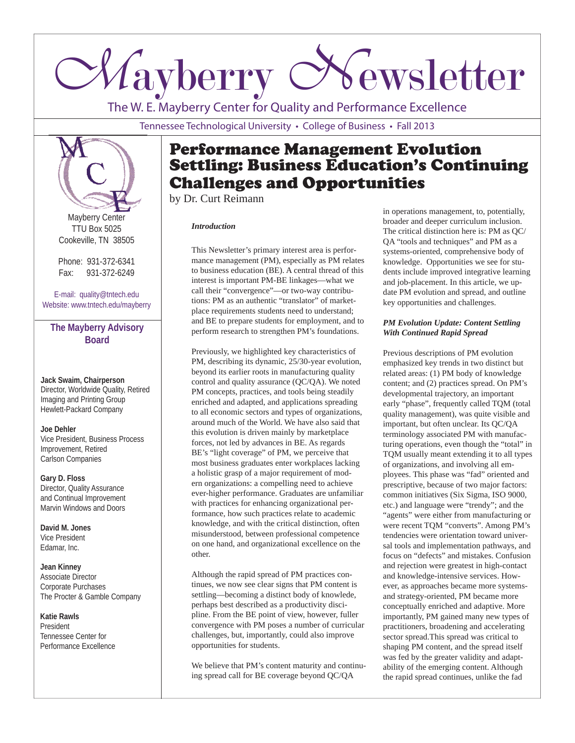# *Mayberry Newsletter*

The W. E. Mayberry Center for Quality and Performance Excellence

Tennessee Technological University • College of Business • Fall 2013



Mayberry Center TTU Box 5025 Cookeville, TN 38505

Phone: 931-372-6341 Fax: 931-372-6249

E-mail: quality@tntech.edu Website: www.tntech.edu/mayberry

# **The Mayberry Advisory Board**

**Jack Swaim, Chairperson** Director, Worldwide Quality, Retired Imaging and Printing Group Hewlett-Packard Company

## **Joe Dehler**

Vice President, Business Process Improvement, Retired Carlson Companies

**Gary D. Floss** Director, Quality Assurance and Continual Improvement Marvin Windows and Doors

**David M. Jones** Vice President Edamar, Inc.

**Jean Kinney** Associate Director Corporate Purchases The Procter & Gamble Company

**Katie Rawls** President Tennessee Center for Performance Excellence

# Performance Management Evolution Settling: Business Education's Continuing Challenges and Opportunities

by Dr. Curt Reimann

## *Introduction*

This Newsletter's primary interest area is performance management (PM), especially as PM relates to business education (BE). A central thread of this interest is important PM-BE linkages—what we call their "convergence"—or two-way contributions: PM as an authentic "translator" of marketplace requirements students need to understand; and BE to prepare students for employment, and to perform research to strengthen PM's foundations.

Previously, we highlighted key characteristics of PM, describing its dynamic, 25/30-year evolution, beyond its earlier roots in manufacturing quality control and quality assurance (QC/QA). We noted PM concepts, practices, and tools being steadily enriched and adapted, and applications spreading to all economic sectors and types of organizations, around much of the World. We have also said that this evolution is driven mainly by marketplace forces, not led by advances in BE. As regards BE's "light coverage" of PM, we perceive that most business graduates enter workplaces lacking a holistic grasp of a major requirement of modern organizations: a compelling need to achieve ever-higher performance. Graduates are unfamiliar with practices for enhancing organizational performance, how such practices relate to academic knowledge, and with the critical distinction, often misunderstood, between professional competence on one hand, and organizational excellence on the other.

Although the rapid spread of PM practices continues, we now see clear signs that PM content is settling—becoming a distinct body of knowlede, perhaps best described as a productivity discipline. From the BE point of view, however, fuller convergence with PM poses a number of curricular challenges, but, importantly, could also improve opportunities for students.

We believe that PM's content maturity and continuing spread call for BE coverage beyond QC/QA

in operations management, to, potentially, broader and deeper curriculum inclusion. The critical distinction here is: PM as QC/ QA "tools and techniques" and PM as a systems-oriented, comprehensive body of knowledge. Opportunities we see for students include improved integrative learning and job-placement. In this article, we update PM evolution and spread, and outline key opportunities and challenges.

### *PM Evolution Update: Content Settling With Continued Rapid Spread*

Previous descriptions of PM evolution emphasized key trends in two distinct but related areas: (1) PM body of knowledge content; and (2) practices spread. On PM's developmental trajectory, an important early "phase", frequently called TQM (total quality management), was quite visible and important, but often unclear. Its QC/QA terminology associated PM with manufacturing operations, even though the "total" in TQM usually meant extending it to all types of organizations, and involving all employees. This phase was "fad" oriented and prescriptive, because of two major factors: common initiatives (Six Sigma, ISO 9000, etc.) and language were "trendy"; and the "agents" were either from manufacturing or were recent TQM "converts". Among PM's tendencies were orientation toward universal tools and implementation pathways, and focus on "defects" and mistakes. Confusion and rejection were greatest in high-contact and knowledge-intensive services. However, as approaches became more systemsand strategy-oriented, PM became more conceptually enriched and adaptive. More importantly, PM gained many new types of practitioners, broadening and accelerating sector spread.This spread was critical to shaping PM content, and the spread itself was fed by the greater validity and adaptability of the emerging content. Although the rapid spread continues, unlike the fad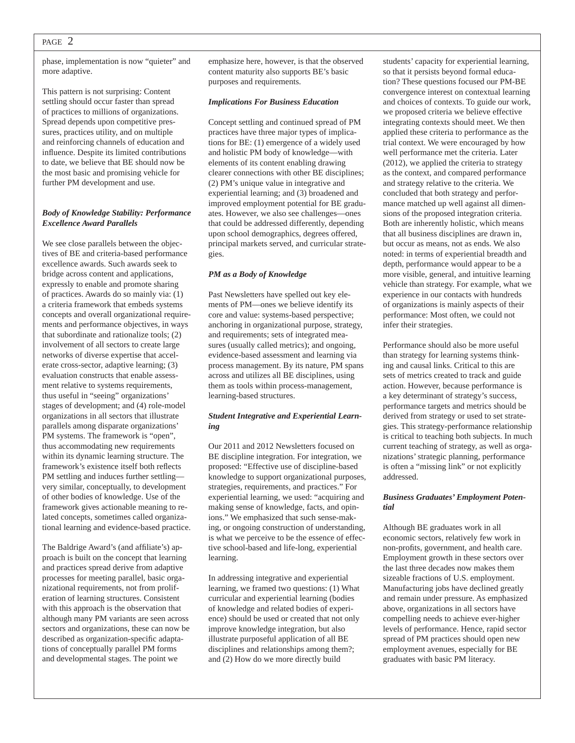## PAGE 2

phase, implementation is now "quieter" and more adaptive.

This pattern is not surprising: Content settling should occur faster than spread of practices to millions of organizations. Spread depends upon competitive pressures, practices utility, and on multiple and reinforcing channels of education and influence. Despite its limited contributions to date, we believe that BE should now be the most basic and promising vehicle for further PM development and use.

#### *Body of Knowledge Stability: Performance Excellence Award Parallels*

We see close parallels between the objectives of BE and criteria-based performance excellence awards. Such awards seek to bridge across content and applications, expressly to enable and promote sharing of practices. Awards do so mainly via: (1) a criteria framework that embeds systems concepts and overall organizational requirements and performance objectives, in ways that subordinate and rationalize tools; (2) involvement of all sectors to create large networks of diverse expertise that accelerate cross-sector, adaptive learning; (3) evaluation constructs that enable assessment relative to systems requirements, thus useful in "seeing" organizations' stages of development; and (4) role-model organizations in all sectors that illustrate parallels among disparate organizations' PM systems. The framework is "open", thus accommodating new requirements within its dynamic learning structure. The framework's existence itself both reflects PM settling and induces further settling very similar, conceptually, to development of other bodies of knowledge. Use of the framework gives actionable meaning to related concepts, sometimes called organizational learning and evidence-based practice.

The Baldrige Award's (and affiliate's) approach is built on the concept that learning and practices spread derive from adaptive processes for meeting parallel, basic organizational requirements, not from proliferation of learning structures. Consistent with this approach is the observation that although many PM variants are seen across sectors and organizations, these can now be described as organization-specific adaptations of conceptually parallel PM forms and developmental stages. The point we

emphasize here, however, is that the observed content maturity also supports BE's basic purposes and requirements.

#### *Implications For Business Education*

Concept settling and continued spread of PM practices have three major types of implications for BE: (1) emergence of a widely used and holistic PM body of knowledge—with elements of its content enabling drawing clearer connections with other BE disciplines; (2) PM's unique value in integrative and experiential learning; and (3) broadened and improved employment potential for BE graduates. However, we also see challenges—ones that could be addressed differently, depending upon school demographics, degrees offered, principal markets served, and curricular strategies.

#### *PM as a Body of Knowledge*

Past Newsletters have spelled out key elements of PM—ones we believe identify its core and value: systems-based perspective; anchoring in organizational purpose, strategy, and requirements; sets of integrated measures (usually called metrics); and ongoing, evidence-based assessment and learning via process management. By its nature, PM spans across and utilizes all BE disciplines, using them as tools within process-management, learning-based structures.

#### *Student Integrative and Experiential Learning*

Our 2011 and 2012 Newsletters focused on BE discipline integration. For integration, we proposed: "Effective use of discipline-based knowledge to support organizational purposes, strategies, requirements, and practices." For experiential learning, we used: "acquiring and making sense of knowledge, facts, and opinions." We emphasized that such sense-making, or ongoing construction of understanding, is what we perceive to be the essence of effective school-based and life-long, experiential learning.

In addressing integrative and experiential learning, we framed two questions: (1) What curricular and experiential learning (bodies of knowledge and related bodies of experience) should be used or created that not only improve knowledge integration, but also illustrate purposeful application of all BE disciplines and relationships among them?; and (2) How do we more directly build

students' capacity for experiential learning, so that it persists beyond formal education? These questions focused our PM-BE convergence interest on contextual learning and choices of contexts. To guide our work, we proposed criteria we believe effective integrating contexts should meet. We then applied these criteria to performance as the trial context. We were encouraged by how well performance met the criteria. Later (2012), we applied the criteria to strategy as the context, and compared performance and strategy relative to the criteria. We concluded that both strategy and performance matched up well against all dimensions of the proposed integration criteria. Both are inherently holistic, which means that all business disciplines are drawn in, but occur as means, not as ends. We also noted: in terms of experiential breadth and depth, performance would appear to be a more visible, general, and intuitive learning vehicle than strategy. For example, what we experience in our contacts with hundreds of organizations is mainly aspects of their performance: Most often, we could not infer their strategies.

Performance should also be more useful than strategy for learning systems thinking and causal links. Critical to this are sets of metrics created to track and guide action. However, because performance is a key determinant of strategy's success, performance targets and metrics should be derived from strategy or used to set strategies. This strategy-performance relationship is critical to teaching both subjects. In much current teaching of strategy, as well as organizations' strategic planning, performance is often a "missing link" or not explicitly addressed.

#### *Business Graduates' Employment Potential*

Although BE graduates work in all economic sectors, relatively few work in non-profits, government, and health care. Employment growth in these sectors over the last three decades now makes them sizeable fractions of U.S. employment. Manufacturing jobs have declined greatly and remain under pressure. As emphasized above, organizations in all sectors have compelling needs to achieve ever-higher levels of performance. Hence, rapid sector spread of PM practices should open new employment avenues, especially for BE graduates with basic PM literacy.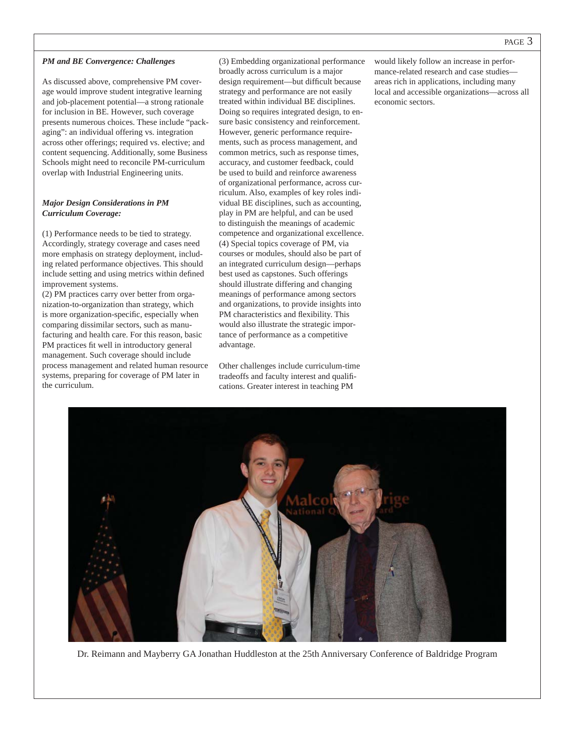#### *PM and BE Convergence: Challenges*

As discussed above, comprehensive PM coverage would improve student integrative learning and job-placement potential—a strong rationale for inclusion in BE. However, such coverage presents numerous choices. These include "packaging": an individual offering vs. integration across other offerings; required vs. elective; and content sequencing. Additionally, some Business Schools might need to reconcile PM-curriculum overlap with Industrial Engineering units.

#### *Major Design Considerations in PM Curriculum Coverage:*

(1) Performance needs to be tied to strategy. Accordingly, strategy coverage and cases need more emphasis on strategy deployment, including related performance objectives. This should include setting and using metrics within defined improvement systems.

(2) PM practices carry over better from organization-to-organization than strategy, which is more organization-specific, especially when comparing dissimilar sectors, such as manufacturing and health care. For this reason, basic PM practices fit well in introductory general management. Such coverage should include process management and related human resource systems, preparing for coverage of PM later in the curriculum.

(3) Embedding organizational performance broadly across curriculum is a major design requirement—but difficult because strategy and performance are not easily treated within individual BE disciplines. Doing so requires integrated design, to ensure basic consistency and reinforcement. However, generic performance requirements, such as process management, and common metrics, such as response times, accuracy, and customer feedback, could be used to build and reinforce awareness of organizational performance, across curriculum. Also, examples of key roles individual BE disciplines, such as accounting, play in PM are helpful, and can be used to distinguish the meanings of academic competence and organizational excellence. (4) Special topics coverage of PM, via courses or modules, should also be part of an integrated curriculum design—perhaps best used as capstones. Such offerings should illustrate differing and changing meanings of performance among sectors and organizations, to provide insights into PM characteristics and flexibility. This would also illustrate the strategic importance of performance as a competitive advantage.

Other challenges include curriculum-time tradeoffs and faculty interest and qualifi cations. Greater interest in teaching PM

would likely follow an increase in performance-related research and case studies areas rich in applications, including many local and accessible organizations—across all economic sectors.



Dr. Reimann and Mayberry GA Jonathan Huddleston at the 25th Anniversary Conference of Baldridge Program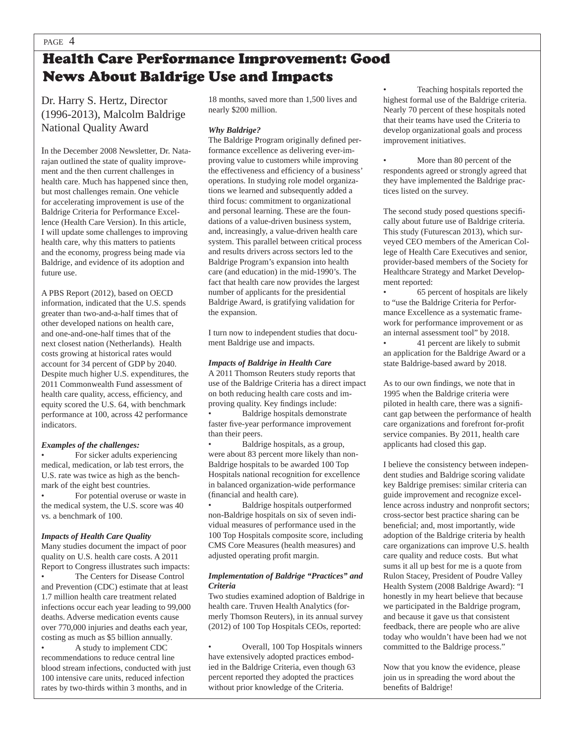# Health Care Performance Improvement: Good News About Baldrige Use and Impacts

Dr. Harry S. Hertz, Director (1996-2013), Malcolm Baldrige National Quality Award

In the December 2008 Newsletter, Dr. Natarajan outlined the state of quality improvement and the then current challenges in health care. Much has happened since then, but most challenges remain. One vehicle for accelerating improvement is use of the Baldrige Criteria for Performance Excellence (Health Care Version). In this article, I will update some challenges to improving health care, why this matters to patients and the economy, progress being made via Baldrige, and evidence of its adoption and future use.

A PBS Report (2012), based on OECD information, indicated that the U.S. spends greater than two-and-a-half times that of other developed nations on health care, and one-and-one-half times that of the next closest nation (Netherlands). Health costs growing at historical rates would account for 34 percent of GDP by 2040. Despite much higher U.S. expenditures, the 2011 Commonwealth Fund assessment of health care quality, access, efficiency, and equity scored the U.S. 64, with benchmark performance at 100, across 42 performance indicators.

#### *Examples of the challenges:*

For sicker adults experiencing medical, medication, or lab test errors, the U.S. rate was twice as high as the benchmark of the eight best countries. For potential overuse or waste in the medical system, the U.S. score was 40 vs. a benchmark of 100.

#### *Impacts of Health Care Quality*

Many studies document the impact of poor quality on U.S. health care costs. A 2011 Report to Congress illustrates such impacts:

The Centers for Disease Control and Prevention (CDC) estimate that at least 1.7 million health care treatment related infections occur each year leading to 99,000 deaths. Adverse medication events cause over 770,000 injuries and deaths each year, costing as much as \$5 billion annually.

• A study to implement CDC recommendations to reduce central line blood stream infections, conducted with just 100 intensive care units, reduced infection rates by two-thirds within 3 months, and in

18 months, saved more than 1,500 lives and nearly \$200 million.

#### *Why Baldrige?*

The Baldrige Program originally defined performance excellence as delivering ever-improving value to customers while improving the effectiveness and efficiency of a business' operations. In studying role model organizations we learned and subsequently added a third focus: commitment to organizational and personal learning. These are the foundations of a value-driven business system, and, increasingly, a value-driven health care system. This parallel between critical process and results drivers across sectors led to the Baldrige Program's expansion into health care (and education) in the mid-1990's. The fact that health care now provides the largest number of applicants for the presidential Baldrige Award, is gratifying validation for the expansion.

I turn now to independent studies that document Baldrige use and impacts.

#### *Impacts of Baldrige in Health Care*

A 2011 Thomson Reuters study reports that use of the Baldrige Criteria has a direct impact on both reducing health care costs and improving quality. Key findings include:

Baldrige hospitals demonstrate faster five-year performance improvement than their peers.

• Baldrige hospitals, as a group, were about 83 percent more likely than non-Baldrige hospitals to be awarded 100 Top Hospitals national recognition for excellence in balanced organization-wide performance (financial and health care).

• Baldrige hospitals outperformed non-Baldrige hospitals on six of seven individual measures of performance used in the 100 Top Hospitals composite score, including CMS Core Measures (health measures) and adjusted operating profit margin.

#### *Implementation of Baldrige "Practices" and Criteria*

Two studies examined adoption of Baldrige in health care. Truven Health Analytics (formerly Thomson Reuters), in its annual survey (2012) of 100 Top Hospitals CEOs, reported:

• Overall, 100 Top Hospitals winners have extensively adopted practices embodied in the Baldrige Criteria, even though 63 percent reported they adopted the practices without prior knowledge of the Criteria.

• Teaching hospitals reported the highest formal use of the Baldrige criteria. Nearly 70 percent of these hospitals noted that their teams have used the Criteria to develop organizational goals and process improvement initiatives.

More than 80 percent of the respondents agreed or strongly agreed that they have implemented the Baldrige practices listed on the survey.

The second study posed questions specifically about future use of Baldrige criteria. This study (Futurescan 2013), which surveyed CEO members of the American College of Health Care Executives and senior, provider-based members of the Society for Healthcare Strategy and Market Development reported:

• 65 percent of hospitals are likely to "use the Baldrige Criteria for Performance Excellence as a systematic framework for performance improvement or as an internal assessment tool" by 2018.

• 41 percent are likely to submit an application for the Baldrige Award or a state Baldrige-based award by 2018.

As to our own findings, we note that in 1995 when the Baldrige criteria were piloted in health care, there was a significant gap between the performance of health care organizations and forefront for-profit service companies. By 2011, health care applicants had closed this gap.

I believe the consistency between independent studies and Baldrige scoring validate key Baldrige premises: similar criteria can guide improvement and recognize excellence across industry and nonprofit sectors; cross-sector best practice sharing can be beneficial; and, most importantly, wide adoption of the Baldrige criteria by health care organizations can improve U.S. health care quality and reduce costs. But what sums it all up best for me is a quote from Rulon Stacey, President of Poudre Valley Health System (2008 Baldrige Award): "I honestly in my heart believe that because we participated in the Baldrige program, and because it gave us that consistent feedback, there are people who are alive today who wouldn't have been had we not committed to the Baldrige process."

Now that you know the evidence, please join us in spreading the word about the benefits of Baldrige!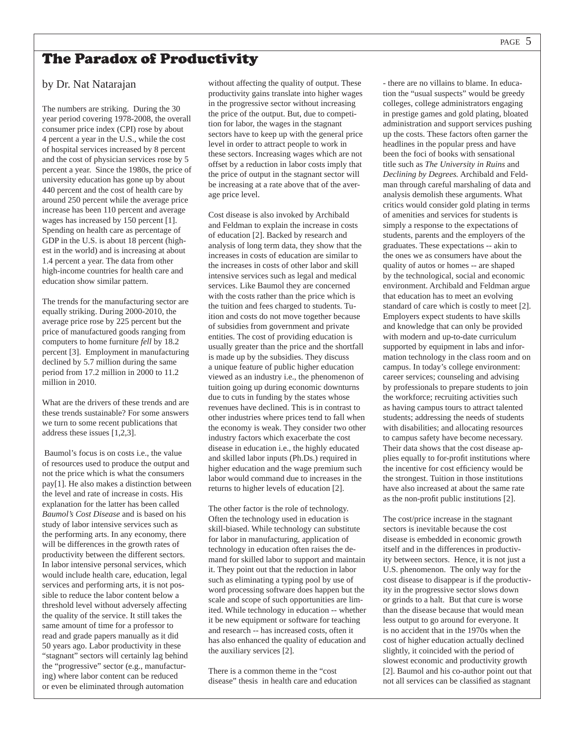# The Paradox of Productivity

## by Dr. Nat Natarajan

The numbers are striking. During the 30 year period covering 1978-2008, the overall consumer price index (CPI) rose by about 4 percent a year in the U.S., while the cost of hospital services increased by 8 percent and the cost of physician services rose by 5 percent a year. Since the 1980s, the price of university education has gone up by about 440 percent and the cost of health care by around 250 percent while the average price increase has been 110 percent and average wages has increased by 150 percent [1]. Spending on health care as percentage of GDP in the U.S. is about 18 percent (highest in the world) and is increasing at about 1.4 percent a year. The data from other high-income countries for health care and education show similar pattern.

The trends for the manufacturing sector are equally striking. During 2000-2010, the average price rose by 225 percent but the price of manufactured goods ranging from computers to home furniture *fell* by 18.2 percent [3]. Employment in manufacturing declined by 5.7 million during the same period from 17.2 million in 2000 to 11.2 million in 2010.

What are the drivers of these trends and are these trends sustainable? For some answers we turn to some recent publications that address these issues [1,2,3].

 Baumol's focus is on costs i.e., the value of resources used to produce the output and not the price which is what the consumers pay[1]. He also makes a distinction between the level and rate of increase in costs. His explanation for the latter has been called *Baumol's Cost Disease* and is based on his study of labor intensive services such as the performing arts. In any economy, there will be differences in the growth rates of productivity between the different sectors. In labor intensive personal services, which would include health care, education, legal services and performing arts, it is not possible to reduce the labor content below a threshold level without adversely affecting the quality of the service. It still takes the same amount of time for a professor to read and grade papers manually as it did 50 years ago. Labor productivity in these "stagnant" sectors will certainly lag behind the "progressive" sector (e.g., manufacturing) where labor content can be reduced or even be eliminated through automation

without affecting the quality of output. These productivity gains translate into higher wages in the progressive sector without increasing the price of the output. But, due to competition for labor, the wages in the stagnant sectors have to keep up with the general price level in order to attract people to work in these sectors. Increasing wages which are not offset by a reduction in labor costs imply that the price of output in the stagnant sector will be increasing at a rate above that of the average price level.

Cost disease is also invoked by Archibald and Feldman to explain the increase in costs of education [2]. Backed by research and analysis of long term data, they show that the increases in costs of education are similar to the increases in costs of other labor and skill intensive services such as legal and medical services. Like Baumol they are concerned with the costs rather than the price which is the tuition and fees charged to students. Tuition and costs do not move together because of subsidies from government and private entities. The cost of providing education is usually greater than the price and the shortfall is made up by the subsidies. They discuss a unique feature of public higher education viewed as an industry i.e., the phenomenon of tuition going up during economic downturns due to cuts in funding by the states whose revenues have declined. This is in contrast to other industries where prices tend to fall when the economy is weak. They consider two other industry factors which exacerbate the cost disease in education i.e., the highly educated and skilled labor inputs (Ph.Ds.) required in higher education and the wage premium such labor would command due to increases in the returns to higher levels of education [2].

The other factor is the role of technology. Often the technology used in education is skill-biased. While technology can substitute for labor in manufacturing, application of technology in education often raises the demand for skilled labor to support and maintain it. They point out that the reduction in labor such as eliminating a typing pool by use of word processing software does happen but the scale and scope of such opportunities are limited. While technology in education -- whether it be new equipment or software for teaching and research -- has increased costs, often it has also enhanced the quality of education and the auxiliary services [2].

There is a common theme in the "cost disease" thesis in health care and education

- there are no villains to blame. In education the "usual suspects" would be greedy colleges, college administrators engaging in prestige games and gold plating, bloated administration and support services pushing up the costs. These factors often garner the headlines in the popular press and have been the foci of books with sensational title such as *The University in Ruins* and *Declining by Degrees.* Archibald and Feldman through careful marshaling of data and analysis demolish these arguments. What critics would consider gold plating in terms of amenities and services for students is simply a response to the expectations of students, parents and the employers of the graduates. These expectations -- akin to the ones we as consumers have about the quality of autos or homes -- are shaped by the technological, social and economic environment. Archibald and Feldman argue that education has to meet an evolving standard of care which is costly to meet [2]. Employers expect students to have skills and knowledge that can only be provided with modern and up-to-date curriculum supported by equipment in labs and information technology in the class room and on campus. In today's college environment: career services; counseling and advising by professionals to prepare students to join the workforce; recruiting activities such as having campus tours to attract talented students; addressing the needs of students with disabilities; and allocating resources to campus safety have become necessary. Their data shows that the cost disease applies equally to for-profit institutions where the incentive for cost efficiency would be the strongest. Tuition in those institutions have also increased at about the same rate as the non-profit public institutions [2].

The cost/price increase in the stagnant sectors is inevitable because the cost disease is embedded in economic growth itself and in the differences in productivity between sectors. Hence, it is not just a U.S. phenomenon. The only way for the cost disease to disappear is if the productivity in the progressive sector slows down or grinds to a halt. But that cure is worse than the disease because that would mean less output to go around for everyone. It is no accident that in the 1970s when the cost of higher education actually declined slightly, it coincided with the period of slowest economic and productivity growth [2]. Baumol and his co-author point out that not all services can be classified as stagnant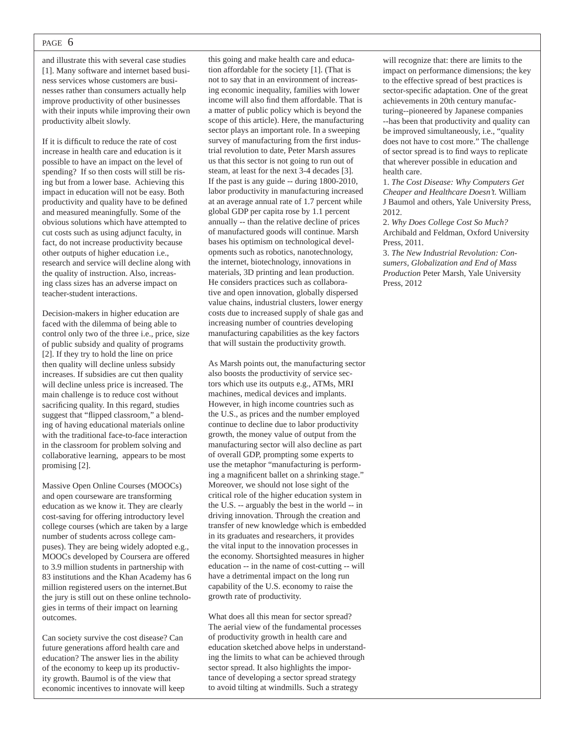#### PAGE 6

and illustrate this with several case studies [1]. Many software and internet based business services whose customers are businesses rather than consumers actually help improve productivity of other businesses with their inputs while improving their own productivity albeit slowly.

If it is difficult to reduce the rate of cost increase in health care and education is it possible to have an impact on the level of spending? If so then costs will still be rising but from a lower base. Achieving this impact in education will not be easy. Both productivity and quality have to be defined and measured meaningfully. Some of the obvious solutions which have attempted to cut costs such as using adjunct faculty, in fact, do not increase productivity because other outputs of higher education i.e., research and service will decline along with the quality of instruction. Also, increasing class sizes has an adverse impact on teacher-student interactions.

Decision-makers in higher education are faced with the dilemma of being able to control only two of the three i.e., price, size of public subsidy and quality of programs [2]. If they try to hold the line on price then quality will decline unless subsidy increases. If subsidies are cut then quality will decline unless price is increased. The main challenge is to reduce cost without sacrificing quality. In this regard, studies suggest that "flipped classroom," a blending of having educational materials online with the traditional face-to-face interaction in the classroom for problem solving and collaborative learning, appears to be most promising [2].

Massive Open Online Courses (MOOCs) and open courseware are transforming education as we know it. They are clearly cost-saving for offering introductory level college courses (which are taken by a large number of students across college campuses). They are being widely adopted e.g., MOOCs developed by Coursera are offered to 3.9 million students in partnership with 83 institutions and the Khan Academy has 6 million registered users on the internet.But the jury is still out on these online technologies in terms of their impact on learning outcomes.

Can society survive the cost disease? Can future generations afford health care and education? The answer lies in the ability of the economy to keep up its productivity growth. Baumol is of the view that economic incentives to innovate will keep this going and make health care and education affordable for the society [1]. (That is not to say that in an environment of increasing economic inequality, families with lower income will also find them affordable. That is a matter of public policy which is beyond the scope of this article). Here, the manufacturing sector plays an important role. In a sweeping survey of manufacturing from the first industrial revolution to date, Peter Marsh assures us that this sector is not going to run out of steam, at least for the next 3-4 decades [3]. If the past is any guide -- during 1800-2010, labor productivity in manufacturing increased at an average annual rate of 1.7 percent while global GDP per capita rose by 1.1 percent annually -- than the relative decline of prices of manufactured goods will continue. Marsh bases his optimism on technological developments such as robotics, nanotechnology, the internet, biotechnology, innovations in materials, 3D printing and lean production. He considers practices such as collaborative and open innovation, globally dispersed value chains, industrial clusters, lower energy costs due to increased supply of shale gas and increasing number of countries developing manufacturing capabilities as the key factors that will sustain the productivity growth.

As Marsh points out, the manufacturing sector also boosts the productivity of service sectors which use its outputs e.g., ATMs, MRI machines, medical devices and implants. However, in high income countries such as the U.S., as prices and the number employed continue to decline due to labor productivity growth, the money value of output from the manufacturing sector will also decline as part of overall GDP, prompting some experts to use the metaphor "manufacturing is performing a magnificent ballet on a shrinking stage." Moreover, we should not lose sight of the critical role of the higher education system in the U.S. -- arguably the best in the world -- in driving innovation. Through the creation and transfer of new knowledge which is embedded in its graduates and researchers, it provides the vital input to the innovation processes in the economy. Shortsighted measures in higher education -- in the name of cost-cutting -- will have a detrimental impact on the long run capability of the U.S. economy to raise the growth rate of productivity.

What does all this mean for sector spread? The aerial view of the fundamental processes of productivity growth in health care and education sketched above helps in understanding the limits to what can be achieved through sector spread. It also highlights the importance of developing a sector spread strategy to avoid tilting at windmills. Such a strategy

will recognize that: there are limits to the impact on performance dimensions; the key to the effective spread of best practices is sector-specific adaptation. One of the great achievements in 20th century manufacturing--pioneered by Japanese companies --has been that productivity and quality can be improved simultaneously, i.e., "quality does not have to cost more." The challenge of sector spread is to find ways to replicate that wherever possible in education and health care.

1. *The Cost Disease: Why Computers Get Cheaper and Healthcare Doesn't.* William J Baumol and others, Yale University Press, 2012.

2. *Why Does College Cost So Much?*  Archibald and Feldman, Oxford University Press, 2011.

3. *The New Industrial Revolution: Consumers, Globalization and End of Mass Production* Peter Marsh*,* Yale University Press, 2012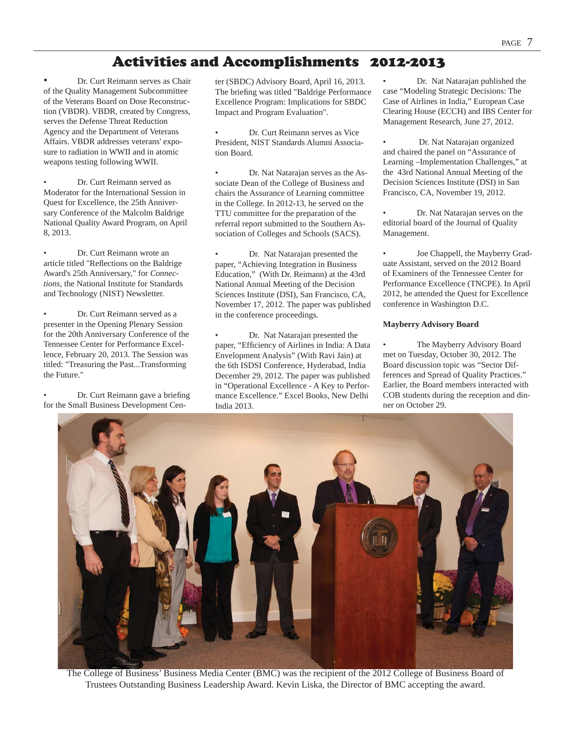# Activities and Accomplishments 2012-2013

• Dr. Curt Reimann serves as Chair of the Quality Management Subcommittee of the Veterans Board on Dose Reconstruction (VBDR). VBDR, created by Congress, serves the Defense Threat Reduction Agency and the Department of Veterans Affairs. VBDR addresses veterans' exposure to radiation in WWII and in atomic weapons testing following WWII.

• Dr. Curt Reimann served as Moderator for the International Session in Quest for Excellence, the 25th Anniversary Conference of the Malcolm Baldrige National Quality Award Program, on April 8, 2013.

• Dr. Curt Reimann wrote an article titled "Reflections on the Baldrige Award's 25th Anniversary," for *Connections*, the National Institute for Standards and Technology (NIST) Newsletter.

• Dr. Curt Reimann served as a presenter in the Opening Plenary Session for the 20th Anniversary Conference of the Tennessee Center for Performance Excellence, February 20, 2013. The Session was titled: "Treasuring the Past...Transforming the Future."

Dr. Curt Reimann gave a briefing for the Small Business Development Center (SBDC) Advisory Board, April 16, 2013. The briefing was titled "Baldrige Performance Excellence Program: Implications for SBDC Impact and Program Evaluation".

• Dr. Curt Reimann serves as Vice President, NIST Standards Alumni Association Board.

• Dr. Nat Natarajan serves as the Associate Dean of the College of Business and chairs the Assurance of Learning committee in the College. In 2012-13, he served on the TTU committee for the preparation of the referral report submitted to the Southern Association of Colleges and Schools (SACS).

Dr. Nat Natarajan presented the paper, "Achieving Integration in Business Education," (With Dr. Reimann) at the 43rd National Annual Meeting of the Decision Sciences Institute (DSI), San Francisco, CA, November 17, 2012. The paper was published in the conference proceedings.

Dr. Nat Natarajan presented the paper, "Efficiency of Airlines in India: A Data Envelopment Analysis" (With Ravi Jain) at the 6th ISDSI Conference, Hyderabad, India December 29, 2012. The paper was published in "Operational Excellence - A Key to Performance Excellence." Excel Books, New Delhi India 2013.

• Dr. Nat Natarajan published the case "Modeling Strategic Decisions: The Case of Airlines in India," European Case Clearing House (ECCH) and IBS Center for Management Research, June 27, 2012.

• Dr. Nat Natarajan organized and chaired the panel on "Assurance of Learning –Implementation Challenges," at the 43rd National Annual Meeting of the Decision Sciences Institute (DSI) in San Francisco, CA, November 19, 2012.

• Dr. Nat Natarajan serves on the editorial board of the Journal of Quality Management.

• Joe Chappell, the Mayberry Graduate Assistant, served on the 2012 Board of Examiners of the Tennessee Center for Performance Excellence (TNCPE). In April 2012, he attended the Quest for Excellence conference in Washington D.C.

#### **Mayberry Advisory Board**

The Mayberry Advisory Board met on Tuesday, October 30, 2012. The Board discussion topic was "Sector Differences and Spread of Quality Practices." Earlier, the Board members interacted with COB students during the reception and dinner on October 29.



The College of Business' Business Media Center (BMC) was the recipient of the 2012 College of Business Board of Trustees Outstanding Business Leadership Award. Kevin Liska, the Director of BMC accepting the award.